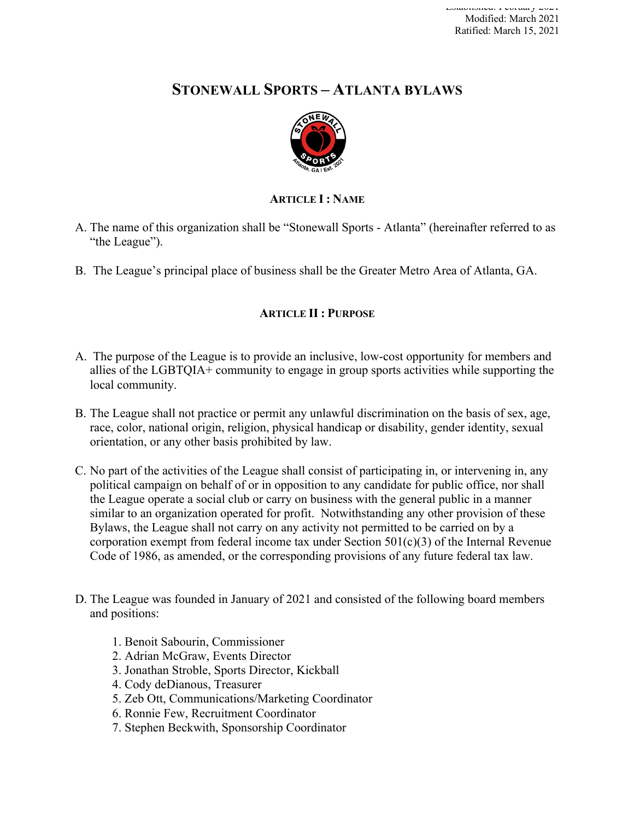# **STONEWALL SPORTS – ATLANTA BYLAWS**



# **ARTICLE I : NAME**

- A. The name of this organization shall be "Stonewall Sports Atlanta" (hereinafter referred to as "the League").
- B. The League's principal place of business shall be the Greater Metro Area of Atlanta, GA.

# **ARTICLE II : PURPOSE**

- A. The purpose of the League is to provide an inclusive, low-cost opportunity for members and allies of the LGBTQIA+ community to engage in group sports activities while supporting the local community.
- B. The League shall not practice or permit any unlawful discrimination on the basis of sex, age, race, color, national origin, religion, physical handicap or disability, gender identity, sexual orientation, or any other basis prohibited by law.
- C. No part of the activities of the League shall consist of participating in, or intervening in, any political campaign on behalf of or in opposition to any candidate for public office, nor shall the League operate a social club or carry on business with the general public in a manner similar to an organization operated for profit. Notwithstanding any other provision of these Bylaws, the League shall not carry on any activity not permitted to be carried on by a corporation exempt from federal income tax under Section  $501(c)(3)$  of the Internal Revenue Code of 1986, as amended, or the corresponding provisions of any future federal tax law.
- D. The League was founded in January of 2021 and consisted of the following board members and positions:
	- 1. Benoit Sabourin, Commissioner
	- 2. Adrian McGraw, Events Director
	- 3. Jonathan Stroble, Sports Director, Kickball
	- 4. Cody deDianous, Treasurer
	- 5. Zeb Ott, Communications/Marketing Coordinator
	- 6. Ronnie Few, Recruitment Coordinator
	- 7. Stephen Beckwith, Sponsorship Coordinator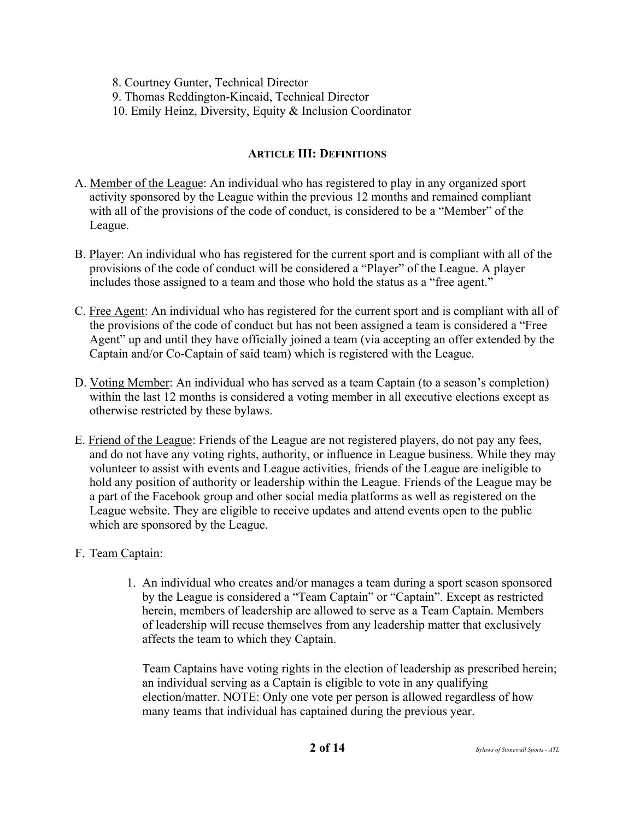8. Courtney Gunter, Technical Director

9. Thomas Reddington-Kincaid, Technical Director

10. Emily Heinz, Diversity, Equity & Inclusion Coordinator

# **ARTICLE III: DEFINITIONS**

- A. Member of the League: An individual who has registered to play in any organized sport activity sponsored by the League within the previous 12 months and remained compliant with all of the provisions of the code of conduct, is considered to be a "Member" of the League.
- B. Player: An individual who has registered for the current sport and is compliant with all of the provisions of the code of conduct will be considered a "Player" of the League. A player includes those assigned to a team and those who hold the status as a "free agent."
- C. Free Agent: An individual who has registered for the current sport and is compliant with all of the provisions of the code of conduct but has not been assigned a team is considered a "Free Agent" up and until they have officially joined a team (via accepting an offer extended by the Captain and/or Co-Captain of said team) which is registered with the League.
- D. Voting Member: An individual who has served as a team Captain (to a season's completion) within the last 12 months is considered a voting member in all executive elections except as otherwise restricted by these bylaws.
- E. Friend of the League: Friends of the League are not registered players, do not pay any fees, and do not have any voting rights, authority, or influence in League business. While they may volunteer to assist with events and League activities, friends of the League are ineligible to hold any position of authority or leadership within the League. Friends of the League may be a part of the Facebook group and other social media platforms as well as registered on the League website. They are eligible to receive updates and attend events open to the public which are sponsored by the League.

# F. Team Captain:

1. An individual who creates and/or manages a team during a sport season sponsored by the League is considered a "Team Captain" or "Captain". Except as restricted herein, members of leadership are allowed to serve as a Team Captain. Members of leadership will recuse themselves from any leadership matter that exclusively affects the team to which they Captain.

Team Captains have voting rights in the election of leadership as prescribed herein; an individual serving as a Captain is eligible to vote in any qualifying election/matter. NOTE: Only one vote per person is allowed regardless of how many teams that individual has captained during the previous year.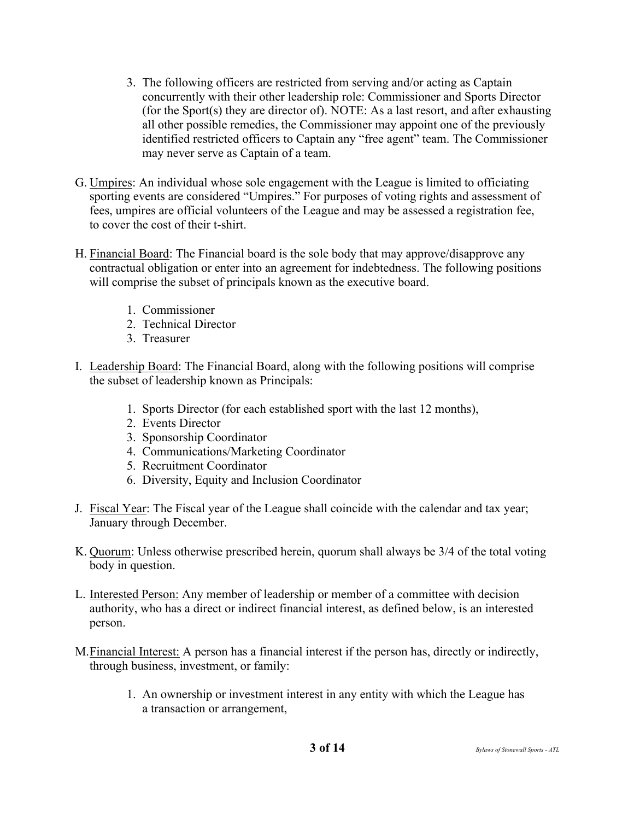- 3. The following officers are restricted from serving and/or acting as Captain concurrently with their other leadership role: Commissioner and Sports Director (for the Sport(s) they are director of). NOTE: As a last resort, and after exhausting all other possible remedies, the Commissioner may appoint one of the previously identified restricted officers to Captain any "free agent" team. The Commissioner may never serve as Captain of a team.
- G. Umpires: An individual whose sole engagement with the League is limited to officiating sporting events are considered "Umpires." For purposes of voting rights and assessment of fees, umpires are official volunteers of the League and may be assessed a registration fee, to cover the cost of their t-shirt.
- H. Financial Board: The Financial board is the sole body that may approve/disapprove any contractual obligation or enter into an agreement for indebtedness. The following positions will comprise the subset of principals known as the executive board.
	- 1. Commissioner
	- 2. Technical Director
	- 3. Treasurer
- I. Leadership Board: The Financial Board, along with the following positions will comprise the subset of leadership known as Principals:
	- 1. Sports Director (for each established sport with the last 12 months),
	- 2. Events Director
	- 3. Sponsorship Coordinator
	- 4. Communications/Marketing Coordinator
	- 5. Recruitment Coordinator
	- 6. Diversity, Equity and Inclusion Coordinator
- J. Fiscal Year: The Fiscal year of the League shall coincide with the calendar and tax year; January through December.
- K. Quorum: Unless otherwise prescribed herein, quorum shall always be 3/4 of the total voting body in question.
- L. Interested Person: Any member of leadership or member of a committee with decision authority, who has a direct or indirect financial interest, as defined below, is an interested person.
- M.Financial Interest: A person has a financial interest if the person has, directly or indirectly, through business, investment, or family:
	- 1. An ownership or investment interest in any entity with which the League has a transaction or arrangement,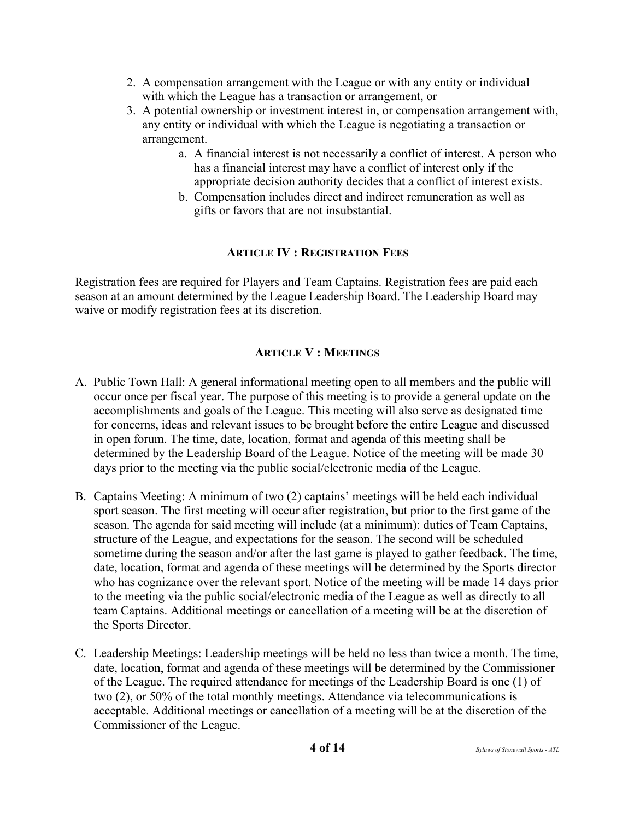- 2. A compensation arrangement with the League or with any entity or individual with which the League has a transaction or arrangement, or
- 3. A potential ownership or investment interest in, or compensation arrangement with, any entity or individual with which the League is negotiating a transaction or arrangement.
	- a. A financial interest is not necessarily a conflict of interest. A person who has a financial interest may have a conflict of interest only if the appropriate decision authority decides that a conflict of interest exists.
	- b. Compensation includes direct and indirect remuneration as well as gifts or favors that are not insubstantial.

#### **ARTICLE IV : REGISTRATION FEES**

Registration fees are required for Players and Team Captains. Registration fees are paid each season at an amount determined by the League Leadership Board. The Leadership Board may waive or modify registration fees at its discretion.

#### **ARTICLE V : MEETINGS**

- A. Public Town Hall: A general informational meeting open to all members and the public will occur once per fiscal year. The purpose of this meeting is to provide a general update on the accomplishments and goals of the League. This meeting will also serve as designated time for concerns, ideas and relevant issues to be brought before the entire League and discussed in open forum. The time, date, location, format and agenda of this meeting shall be determined by the Leadership Board of the League. Notice of the meeting will be made 30 days prior to the meeting via the public social/electronic media of the League.
- B. Captains Meeting: A minimum of two (2) captains' meetings will be held each individual sport season. The first meeting will occur after registration, but prior to the first game of the season. The agenda for said meeting will include (at a minimum): duties of Team Captains, structure of the League, and expectations for the season. The second will be scheduled sometime during the season and/or after the last game is played to gather feedback. The time, date, location, format and agenda of these meetings will be determined by the Sports director who has cognizance over the relevant sport. Notice of the meeting will be made 14 days prior to the meeting via the public social/electronic media of the League as well as directly to all team Captains. Additional meetings or cancellation of a meeting will be at the discretion of the Sports Director.
- C. Leadership Meetings: Leadership meetings will be held no less than twice a month. The time, date, location, format and agenda of these meetings will be determined by the Commissioner of the League. The required attendance for meetings of the Leadership Board is one (1) of two (2), or 50% of the total monthly meetings. Attendance via telecommunications is acceptable. Additional meetings or cancellation of a meeting will be at the discretion of the Commissioner of the League.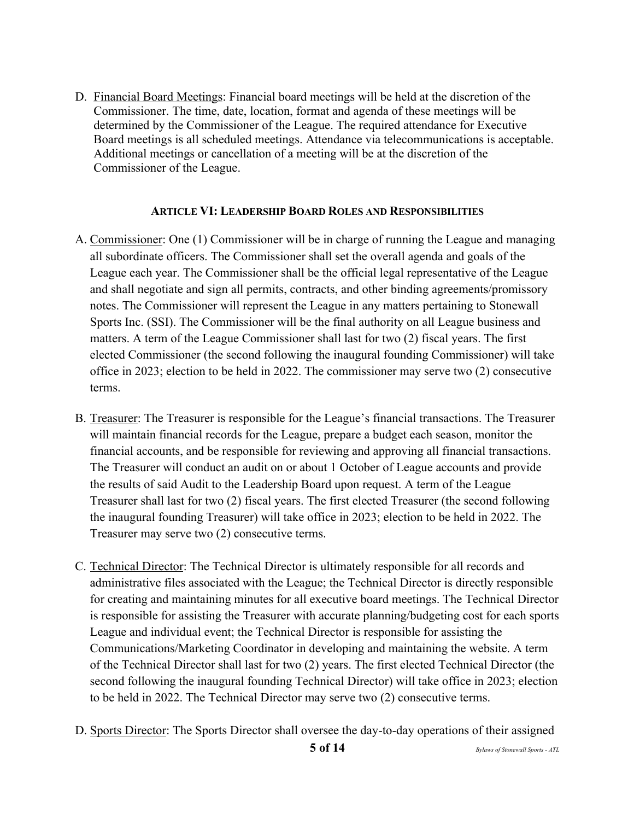D. Financial Board Meetings: Financial board meetings will be held at the discretion of the Commissioner. The time, date, location, format and agenda of these meetings will be determined by the Commissioner of the League. The required attendance for Executive Board meetings is all scheduled meetings. Attendance via telecommunications is acceptable. Additional meetings or cancellation of a meeting will be at the discretion of the Commissioner of the League.

#### **ARTICLE VI: LEADERSHIP BOARD ROLES AND RESPONSIBILITIES**

- A. Commissioner: One (1) Commissioner will be in charge of running the League and managing all subordinate officers. The Commissioner shall set the overall agenda and goals of the League each year. The Commissioner shall be the official legal representative of the League and shall negotiate and sign all permits, contracts, and other binding agreements/promissory notes. The Commissioner will represent the League in any matters pertaining to Stonewall Sports Inc. (SSI). The Commissioner will be the final authority on all League business and matters. A term of the League Commissioner shall last for two (2) fiscal years. The first elected Commissioner (the second following the inaugural founding Commissioner) will take office in 2023; election to be held in 2022. The commissioner may serve two (2) consecutive terms.
- B. Treasurer: The Treasurer is responsible for the League's financial transactions. The Treasurer will maintain financial records for the League, prepare a budget each season, monitor the financial accounts, and be responsible for reviewing and approving all financial transactions. The Treasurer will conduct an audit on or about 1 October of League accounts and provide the results of said Audit to the Leadership Board upon request. A term of the League Treasurer shall last for two (2) fiscal years. The first elected Treasurer (the second following the inaugural founding Treasurer) will take office in 2023; election to be held in 2022. The Treasurer may serve two (2) consecutive terms.
- C. Technical Director: The Technical Director is ultimately responsible for all records and administrative files associated with the League; the Technical Director is directly responsible for creating and maintaining minutes for all executive board meetings. The Technical Director is responsible for assisting the Treasurer with accurate planning/budgeting cost for each sports League and individual event; the Technical Director is responsible for assisting the Communications/Marketing Coordinator in developing and maintaining the website. A term of the Technical Director shall last for two (2) years. The first elected Technical Director (the second following the inaugural founding Technical Director) will take office in 2023; election to be held in 2022. The Technical Director may serve two (2) consecutive terms.
- D. Sports Director: The Sports Director shall oversee the day-to-day operations of their assigned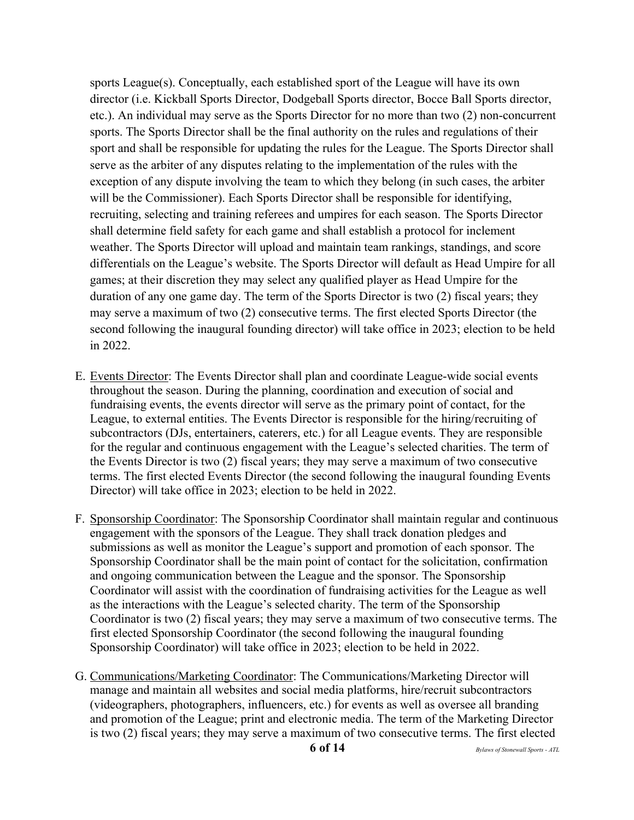sports League(s). Conceptually, each established sport of the League will have its own director (i.e. Kickball Sports Director, Dodgeball Sports director, Bocce Ball Sports director, etc.). An individual may serve as the Sports Director for no more than two (2) non-concurrent sports. The Sports Director shall be the final authority on the rules and regulations of their sport and shall be responsible for updating the rules for the League. The Sports Director shall serve as the arbiter of any disputes relating to the implementation of the rules with the exception of any dispute involving the team to which they belong (in such cases, the arbiter will be the Commissioner). Each Sports Director shall be responsible for identifying, recruiting, selecting and training referees and umpires for each season. The Sports Director shall determine field safety for each game and shall establish a protocol for inclement weather. The Sports Director will upload and maintain team rankings, standings, and score differentials on the League's website. The Sports Director will default as Head Umpire for all games; at their discretion they may select any qualified player as Head Umpire for the duration of any one game day. The term of the Sports Director is two (2) fiscal years; they may serve a maximum of two (2) consecutive terms. The first elected Sports Director (the second following the inaugural founding director) will take office in 2023; election to be held in 2022.

- E. Events Director: The Events Director shall plan and coordinate League-wide social events throughout the season. During the planning, coordination and execution of social and fundraising events, the events director will serve as the primary point of contact, for the League, to external entities. The Events Director is responsible for the hiring/recruiting of subcontractors (DJs, entertainers, caterers, etc.) for all League events. They are responsible for the regular and continuous engagement with the League's selected charities. The term of the Events Director is two (2) fiscal years; they may serve a maximum of two consecutive terms. The first elected Events Director (the second following the inaugural founding Events Director) will take office in 2023; election to be held in 2022.
- F. Sponsorship Coordinator: The Sponsorship Coordinator shall maintain regular and continuous engagement with the sponsors of the League. They shall track donation pledges and submissions as well as monitor the League's support and promotion of each sponsor. The Sponsorship Coordinator shall be the main point of contact for the solicitation, confirmation and ongoing communication between the League and the sponsor. The Sponsorship Coordinator will assist with the coordination of fundraising activities for the League as well as the interactions with the League's selected charity. The term of the Sponsorship Coordinator is two (2) fiscal years; they may serve a maximum of two consecutive terms. The first elected Sponsorship Coordinator (the second following the inaugural founding Sponsorship Coordinator) will take office in 2023; election to be held in 2022.
- G. Communications/Marketing Coordinator: The Communications/Marketing Director will manage and maintain all websites and social media platforms, hire/recruit subcontractors (videographers, photographers, influencers, etc.) for events as well as oversee all branding and promotion of the League; print and electronic media. The term of the Marketing Director is two (2) fiscal years; they may serve a maximum of two consecutive terms. The first elected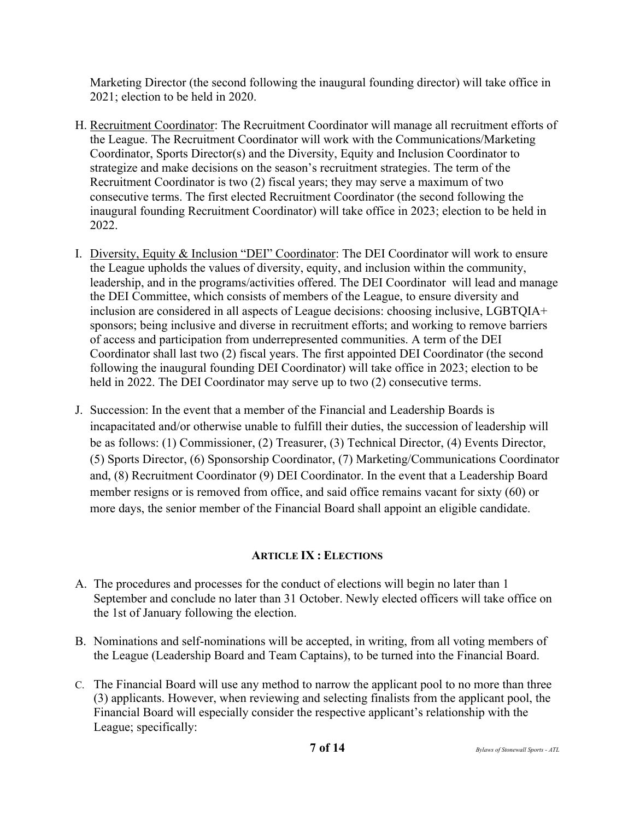Marketing Director (the second following the inaugural founding director) will take office in 2021; election to be held in 2020.

- H. Recruitment Coordinator: The Recruitment Coordinator will manage all recruitment efforts of the League. The Recruitment Coordinator will work with the Communications/Marketing Coordinator, Sports Director(s) and the Diversity, Equity and Inclusion Coordinator to strategize and make decisions on the season's recruitment strategies. The term of the Recruitment Coordinator is two (2) fiscal years; they may serve a maximum of two consecutive terms. The first elected Recruitment Coordinator (the second following the inaugural founding Recruitment Coordinator) will take office in 2023; election to be held in 2022.
- I. Diversity, Equity & Inclusion "DEI" Coordinator: The DEI Coordinator will work to ensure the League upholds the values of diversity, equity, and inclusion within the community, leadership, and in the programs/activities offered. The DEI Coordinator will lead and manage the DEI Committee, which consists of members of the League, to ensure diversity and inclusion are considered in all aspects of League decisions: choosing inclusive, LGBTQIA+ sponsors; being inclusive and diverse in recruitment efforts; and working to remove barriers of access and participation from underrepresented communities. A term of the DEI Coordinator shall last two (2) fiscal years. The first appointed DEI Coordinator (the second following the inaugural founding DEI Coordinator) will take office in 2023; election to be held in 2022. The DEI Coordinator may serve up to two (2) consecutive terms.
- J. Succession: In the event that a member of the Financial and Leadership Boards is incapacitated and/or otherwise unable to fulfill their duties, the succession of leadership will be as follows: (1) Commissioner, (2) Treasurer, (3) Technical Director, (4) Events Director, (5) Sports Director, (6) Sponsorship Coordinator, (7) Marketing/Communications Coordinator and, (8) Recruitment Coordinator (9) DEI Coordinator. In the event that a Leadership Board member resigns or is removed from office, and said office remains vacant for sixty (60) or more days, the senior member of the Financial Board shall appoint an eligible candidate.

### **ARTICLE IX : ELECTIONS**

- A. The procedures and processes for the conduct of elections will begin no later than 1 September and conclude no later than 31 October. Newly elected officers will take office on the 1st of January following the election.
- B. Nominations and self-nominations will be accepted, in writing, from all voting members of the League (Leadership Board and Team Captains), to be turned into the Financial Board.
- C. The Financial Board will use any method to narrow the applicant pool to no more than three (3) applicants. However, when reviewing and selecting finalists from the applicant pool, the Financial Board will especially consider the respective applicant's relationship with the League; specifically: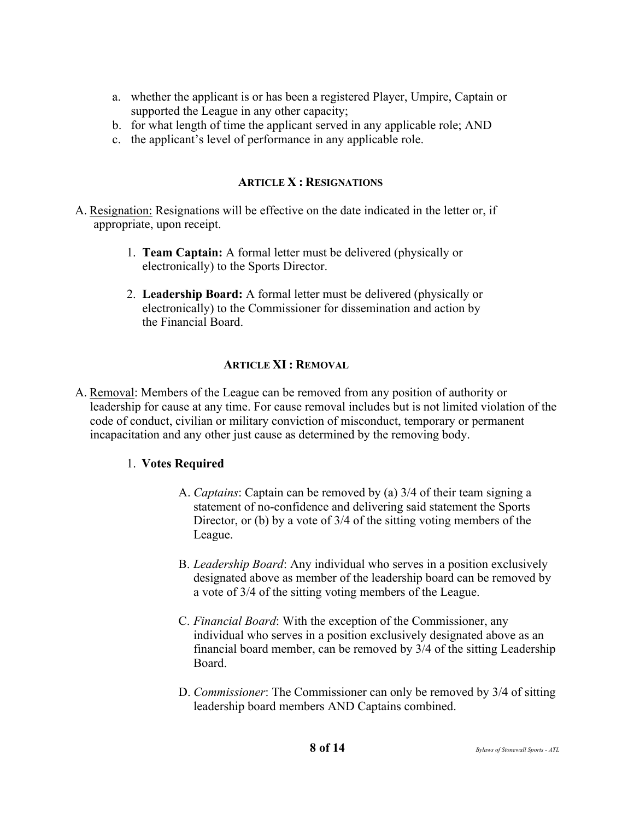- a. whether the applicant is or has been a registered Player, Umpire, Captain or supported the League in any other capacity;
- b. for what length of time the applicant served in any applicable role; AND
- c. the applicant's level of performance in any applicable role.

#### **ARTICLE X : RESIGNATIONS**

- A. Resignation: Resignations will be effective on the date indicated in the letter or, if appropriate, upon receipt.
	- 1. **Team Captain:** A formal letter must be delivered (physically or electronically) to the Sports Director.
	- 2. **Leadership Board:** A formal letter must be delivered (physically or electronically) to the Commissioner for dissemination and action by the Financial Board.

#### **ARTICLE XI : REMOVAL**

A. Removal: Members of the League can be removed from any position of authority or leadership for cause at any time. For cause removal includes but is not limited violation of the code of conduct, civilian or military conviction of misconduct, temporary or permanent incapacitation and any other just cause as determined by the removing body.

#### 1. **Votes Required**

- A. *Captains*: Captain can be removed by (a) 3/4 of their team signing a statement of no-confidence and delivering said statement the Sports Director, or (b) by a vote of 3/4 of the sitting voting members of the League.
- B. *Leadership Board*: Any individual who serves in a position exclusively designated above as member of the leadership board can be removed by a vote of 3/4 of the sitting voting members of the League.
- C. *Financial Board*: With the exception of the Commissioner, any individual who serves in a position exclusively designated above as an financial board member, can be removed by 3/4 of the sitting Leadership Board.
- D. *Commissioner*: The Commissioner can only be removed by 3/4 of sitting leadership board members AND Captains combined.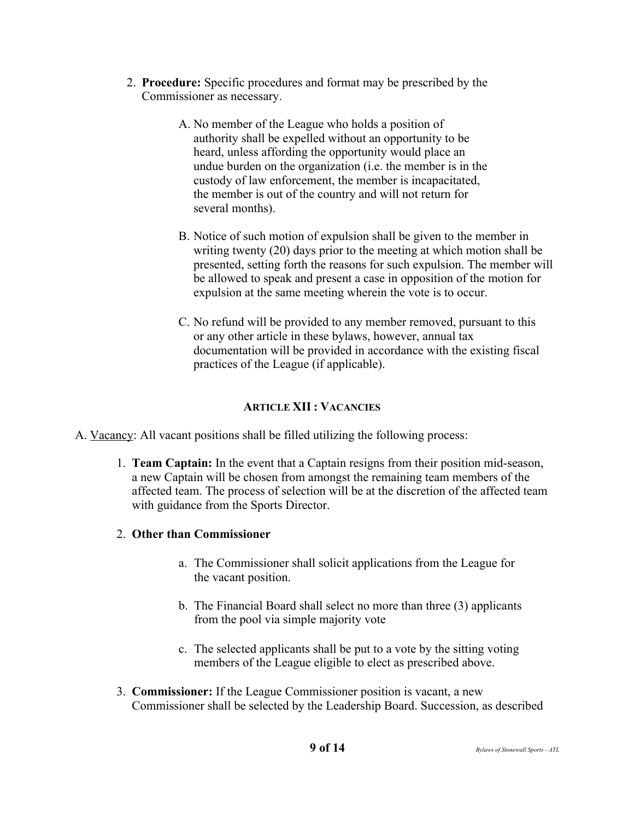- 2. **Procedure:** Specific procedures and format may be prescribed by the Commissioner as necessary.
	- A. No member of the League who holds a position of authority shall be expelled without an opportunity to be heard, unless affording the opportunity would place an undue burden on the organization (i.e. the member is in the custody of law enforcement, the member is incapacitated, the member is out of the country and will not return for several months).
	- B. Notice of such motion of expulsion shall be given to the member in writing twenty (20) days prior to the meeting at which motion shall be presented, setting forth the reasons for such expulsion. The member will be allowed to speak and present a case in opposition of the motion for expulsion at the same meeting wherein the vote is to occur.
	- C. No refund will be provided to any member removed, pursuant to this or any other article in these bylaws, however, annual tax documentation will be provided in accordance with the existing fiscal practices of the League (if applicable).

# **ARTICLE XII : VACANCIES**

- A. Vacancy: All vacant positions shall be filled utilizing the following process:
	- 1. **Team Captain:** In the event that a Captain resigns from their position mid-season, a new Captain will be chosen from amongst the remaining team members of the affected team. The process of selection will be at the discretion of the affected team with guidance from the Sports Director.
	- 2. **Other than Commissioner**
		- a. The Commissioner shall solicit applications from the League for the vacant position.
		- b. The Financial Board shall select no more than three (3) applicants from the pool via simple majority vote
		- c. The selected applicants shall be put to a vote by the sitting voting members of the League eligible to elect as prescribed above.
	- 3. **Commissioner:** If the League Commissioner position is vacant, a new Commissioner shall be selected by the Leadership Board. Succession, as described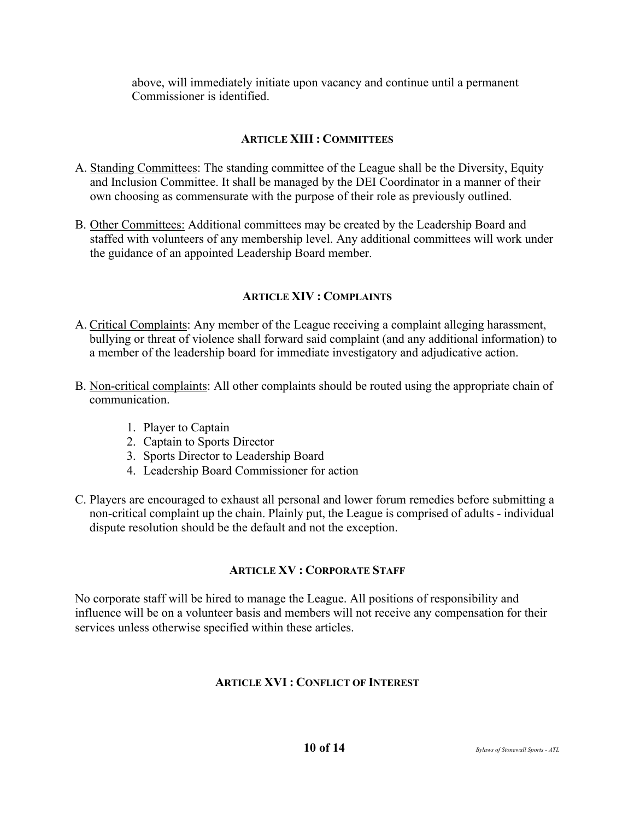above, will immediately initiate upon vacancy and continue until a permanent Commissioner is identified.

# **ARTICLE XIII : COMMITTEES**

- A. Standing Committees: The standing committee of the League shall be the Diversity, Equity and Inclusion Committee. It shall be managed by the DEI Coordinator in a manner of their own choosing as commensurate with the purpose of their role as previously outlined.
- B. Other Committees: Additional committees may be created by the Leadership Board and staffed with volunteers of any membership level. Any additional committees will work under the guidance of an appointed Leadership Board member.

### **ARTICLE XIV : COMPLAINTS**

- A. Critical Complaints: Any member of the League receiving a complaint alleging harassment, bullying or threat of violence shall forward said complaint (and any additional information) to a member of the leadership board for immediate investigatory and adjudicative action.
- B. Non-critical complaints: All other complaints should be routed using the appropriate chain of communication.
	- 1. Player to Captain
	- 2. Captain to Sports Director
	- 3. Sports Director to Leadership Board
	- 4. Leadership Board Commissioner for action
- C. Players are encouraged to exhaust all personal and lower forum remedies before submitting a non-critical complaint up the chain. Plainly put, the League is comprised of adults - individual dispute resolution should be the default and not the exception.

### **ARTICLE XV : CORPORATE STAFF**

No corporate staff will be hired to manage the League. All positions of responsibility and influence will be on a volunteer basis and members will not receive any compensation for their services unless otherwise specified within these articles.

### **ARTICLE XVI : CONFLICT OF INTEREST**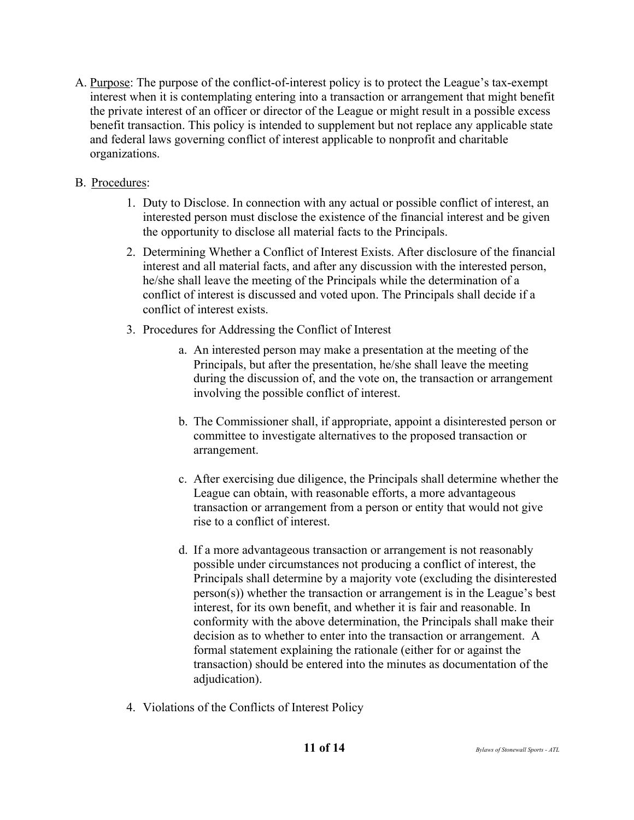- A. Purpose: The purpose of the conflict-of-interest policy is to protect the League's tax-exempt interest when it is contemplating entering into a transaction or arrangement that might benefit the private interest of an officer or director of the League or might result in a possible excess benefit transaction. This policy is intended to supplement but not replace any applicable state and federal laws governing conflict of interest applicable to nonprofit and charitable organizations.
- B. Procedures:
	- 1. Duty to Disclose. In connection with any actual or possible conflict of interest, an interested person must disclose the existence of the financial interest and be given the opportunity to disclose all material facts to the Principals.
	- 2. Determining Whether a Conflict of Interest Exists. After disclosure of the financial interest and all material facts, and after any discussion with the interested person, he/she shall leave the meeting of the Principals while the determination of a conflict of interest is discussed and voted upon. The Principals shall decide if a conflict of interest exists.
	- 3. Procedures for Addressing the Conflict of Interest
		- a. An interested person may make a presentation at the meeting of the Principals, but after the presentation, he/she shall leave the meeting during the discussion of, and the vote on, the transaction or arrangement involving the possible conflict of interest.
		- b. The Commissioner shall, if appropriate, appoint a disinterested person or committee to investigate alternatives to the proposed transaction or arrangement.
		- c. After exercising due diligence, the Principals shall determine whether the League can obtain, with reasonable efforts, a more advantageous transaction or arrangement from a person or entity that would not give rise to a conflict of interest.
		- d. If a more advantageous transaction or arrangement is not reasonably possible under circumstances not producing a conflict of interest, the Principals shall determine by a majority vote (excluding the disinterested person(s)) whether the transaction or arrangement is in the League's best interest, for its own benefit, and whether it is fair and reasonable. In conformity with the above determination, the Principals shall make their decision as to whether to enter into the transaction or arrangement. A formal statement explaining the rationale (either for or against the transaction) should be entered into the minutes as documentation of the adjudication).
	- 4. Violations of the Conflicts of Interest Policy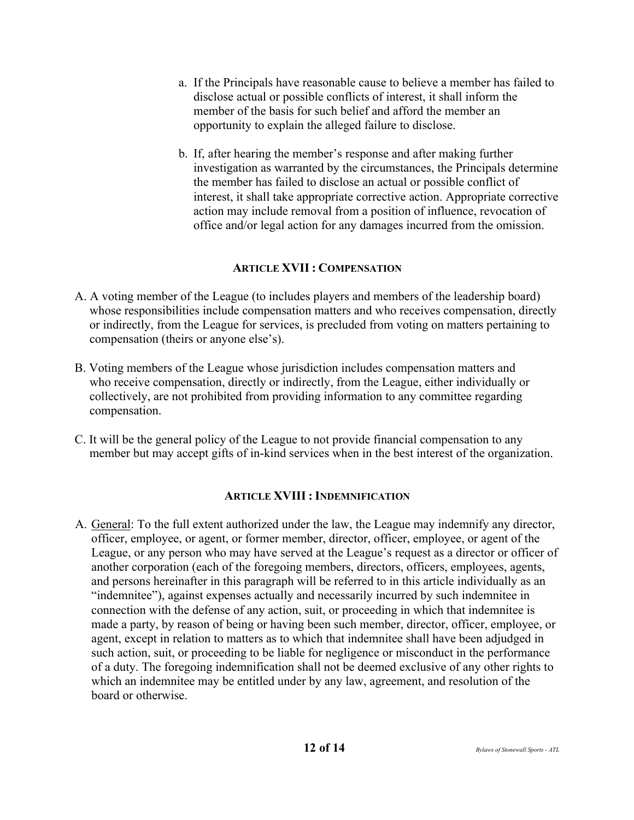- a. If the Principals have reasonable cause to believe a member has failed to disclose actual or possible conflicts of interest, it shall inform the member of the basis for such belief and afford the member an opportunity to explain the alleged failure to disclose.
- b. If, after hearing the member's response and after making further investigation as warranted by the circumstances, the Principals determine the member has failed to disclose an actual or possible conflict of interest, it shall take appropriate corrective action. Appropriate corrective action may include removal from a position of influence, revocation of office and/or legal action for any damages incurred from the omission.

### **ARTICLE XVII : COMPENSATION**

- A. A voting member of the League (to includes players and members of the leadership board) whose responsibilities include compensation matters and who receives compensation, directly or indirectly, from the League for services, is precluded from voting on matters pertaining to compensation (theirs or anyone else's).
- B. Voting members of the League whose jurisdiction includes compensation matters and who receive compensation, directly or indirectly, from the League, either individually or collectively, are not prohibited from providing information to any committee regarding compensation.
- C. It will be the general policy of the League to not provide financial compensation to any member but may accept gifts of in-kind services when in the best interest of the organization.

### **ARTICLE XVIII : INDEMNIFICATION**

A. General: To the full extent authorized under the law, the League may indemnify any director, officer, employee, or agent, or former member, director, officer, employee, or agent of the League, or any person who may have served at the League's request as a director or officer of another corporation (each of the foregoing members, directors, officers, employees, agents, and persons hereinafter in this paragraph will be referred to in this article individually as an "indemnitee"), against expenses actually and necessarily incurred by such indemnitee in connection with the defense of any action, suit, or proceeding in which that indemnitee is made a party, by reason of being or having been such member, director, officer, employee, or agent, except in relation to matters as to which that indemnitee shall have been adjudged in such action, suit, or proceeding to be liable for negligence or misconduct in the performance of a duty. The foregoing indemnification shall not be deemed exclusive of any other rights to which an indemnitee may be entitled under by any law, agreement, and resolution of the board or otherwise.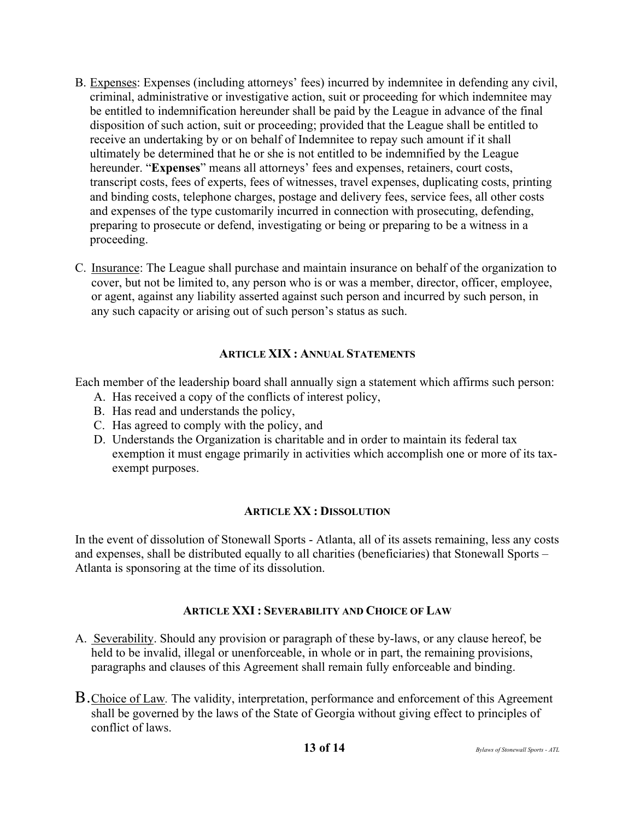- B. Expenses: Expenses (including attorneys' fees) incurred by indemnitee in defending any civil, criminal, administrative or investigative action, suit or proceeding for which indemnitee may be entitled to indemnification hereunder shall be paid by the League in advance of the final disposition of such action, suit or proceeding; provided that the League shall be entitled to receive an undertaking by or on behalf of Indemnitee to repay such amount if it shall ultimately be determined that he or she is not entitled to be indemnified by the League hereunder. "**Expenses**" means all attorneys' fees and expenses, retainers, court costs, transcript costs, fees of experts, fees of witnesses, travel expenses, duplicating costs, printing and binding costs, telephone charges, postage and delivery fees, service fees, all other costs and expenses of the type customarily incurred in connection with prosecuting, defending, preparing to prosecute or defend, investigating or being or preparing to be a witness in a proceeding.
- C. Insurance: The League shall purchase and maintain insurance on behalf of the organization to cover, but not be limited to, any person who is or was a member, director, officer, employee, or agent, against any liability asserted against such person and incurred by such person, in any such capacity or arising out of such person's status as such.

#### **ARTICLE XIX : ANNUAL STATEMENTS**

Each member of the leadership board shall annually sign a statement which affirms such person:

- A. Has received a copy of the conflicts of interest policy,
- B. Has read and understands the policy,
- C. Has agreed to comply with the policy, and
- D. Understands the Organization is charitable and in order to maintain its federal tax exemption it must engage primarily in activities which accomplish one or more of its taxexempt purposes.

#### **ARTICLE XX : DISSOLUTION**

In the event of dissolution of Stonewall Sports - Atlanta, all of its assets remaining, less any costs and expenses, shall be distributed equally to all charities (beneficiaries) that Stonewall Sports – Atlanta is sponsoring at the time of its dissolution.

#### **ARTICLE XXI : SEVERABILITY AND CHOICE OF LAW**

- A. Severability. Should any provision or paragraph of these by-laws, or any clause hereof, be held to be invalid, illegal or unenforceable, in whole or in part, the remaining provisions, paragraphs and clauses of this Agreement shall remain fully enforceable and binding.
- B.Choice of Law*.* The validity, interpretation, performance and enforcement of this Agreement shall be governed by the laws of the State of Georgia without giving effect to principles of conflict of laws.